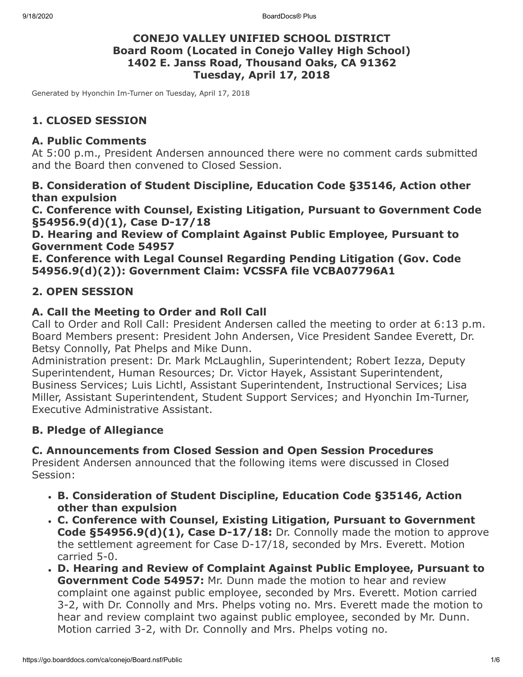9/18/2020 BoardDocs® Plus

### **CONEJO VALLEY UNIFIED SCHOOL DISTRICT Board Room (Located in Conejo Valley High School) 1402 E. Janss Road, Thousand Oaks, CA 91362 Tuesday, April 17, 2018**

Generated by Hyonchin Im-Turner on Tuesday, April 17, 2018

## **1. CLOSED SESSION**

### **A. Public Comments**

At 5:00 p.m., President Andersen announced there were no comment cards submitted and the Board then convened to Closed Session.

### **B. Consideration of Student Discipline, Education Code §35146, Action other than expulsion**

**C. Conference with Counsel, Existing Litigation, Pursuant to Government Code §54956.9(d)(1), Case D-17/18**

**D. Hearing and Review of Complaint Against Public Employee, Pursuant to Government Code 54957**

**E. Conference with Legal Counsel Regarding Pending Litigation (Gov. Code 54956.9(d)(2)): Government Claim: VCSSFA file VCBA07796A1**

### **2. OPEN SESSION**

### **A. Call the Meeting to Order and Roll Call**

Call to Order and Roll Call: President Andersen called the meeting to order at 6:13 p.m. Board Members present: President John Andersen, Vice President Sandee Everett, Dr. Betsy Connolly, Pat Phelps and Mike Dunn.

Administration present: Dr. Mark McLaughlin, Superintendent; Robert Iezza, Deputy Superintendent, Human Resources; Dr. Victor Hayek, Assistant Superintendent, Business Services; Luis Lichtl, Assistant Superintendent, Instructional Services; Lisa Miller, Assistant Superintendent, Student Support Services; and Hyonchin Im-Turner, Executive Administrative Assistant.

## **B. Pledge of Allegiance**

## **C. Announcements from Closed Session and Open Session Procedures**

President Andersen announced that the following items were discussed in Closed Session:

- **B. Consideration of Student Discipline, Education Code §35146, Action other than expulsion**
- **C. Conference with Counsel, Existing Litigation, Pursuant to Government Code §54956.9(d)(1), Case D-17/18:** Dr. Connolly made the motion to approve the settlement agreement for Case D-17/18, seconded by Mrs. Everett. Motion carried 5-0.
- **D. Hearing and Review of Complaint Against Public Employee, Pursuant to Government Code 54957:** Mr. Dunn made the motion to hear and review complaint one against public employee, seconded by Mrs. Everett. Motion carried 3-2, with Dr. Connolly and Mrs. Phelps voting no. Mrs. Everett made the motion to hear and review complaint two against public employee, seconded by Mr. Dunn. Motion carried 3-2, with Dr. Connolly and Mrs. Phelps voting no.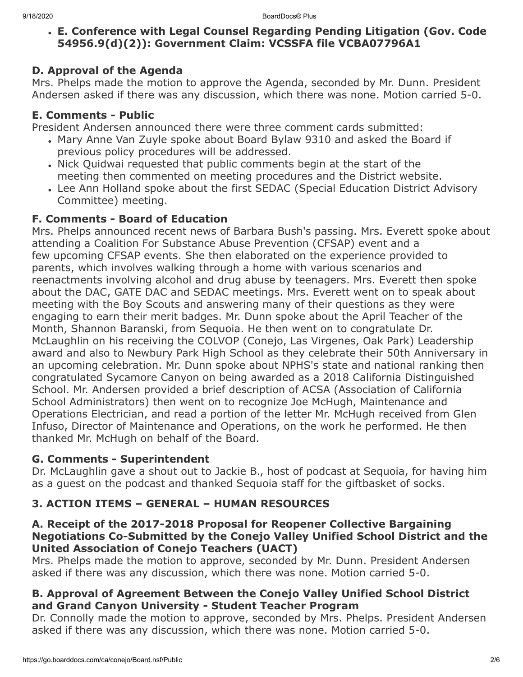**E. Conference with Legal Counsel Regarding Pending Litigation (Gov. Code 54956.9(d)(2)): Government Claim: VCSSFA file VCBA07796A1**

### **D. Approval of the Agenda**

Mrs. Phelps made the motion to approve the Agenda, seconded by Mr. Dunn. President Andersen asked if there was any discussion, which there was none. Motion carried 5-0.

### **E. Comments - Public**

President Andersen announced there were three comment cards submitted:

- Mary Anne Van Zuyle spoke about Board Bylaw 9310 and asked the Board if previous policy procedures will be addressed.
- Nick Quidwai requested that public comments begin at the start of the meeting then commented on meeting procedures and the District website.
- Lee Ann Holland spoke about the first SEDAC (Special Education District Advisory Committee) meeting.

### **F. Comments - Board of Education**

Mrs. Phelps announced recent news of Barbara Bush's passing. Mrs. Everett spoke about attending a Coalition For Substance Abuse Prevention (CFSAP) event and a few upcoming CFSAP events. She then elaborated on the experience provided to parents, which involves walking through a home with various scenarios and reenactments involving alcohol and drug abuse by teenagers. Mrs. Everett then spoke about the DAC, GATE DAC and SEDAC meetings. Mrs. Everett went on to speak about meeting with the Boy Scouts and answering many of their questions as they were engaging to earn their merit badges. Mr. Dunn spoke about the April Teacher of the Month, Shannon Baranski, from Sequoia. He then went on to congratulate Dr. McLaughlin on his receiving the COLVOP (Conejo, Las Virgenes, Oak Park) Leadership award and also to Newbury Park High School as they celebrate their 50th Anniversary in an upcoming celebration. Mr. Dunn spoke about NPHS's state and national ranking then congratulated Sycamore Canyon on being awarded as a 2018 California Distinguished School. Mr. Andersen provided a brief description of ACSA (Association of California School Administrators) then went on to recognize Joe McHugh, Maintenance and Operations Electrician, and read a portion of the letter Mr. McHugh received from Glen Infuso, Director of Maintenance and Operations, on the work he performed. He then thanked Mr. McHugh on behalf of the Board.

### **G. Comments - Superintendent**

Dr. McLaughlin gave a shout out to Jackie B., host of podcast at Sequoia, for having him as a guest on the podcast and thanked Sequoia staff for the giftbasket of socks.

# **3. ACTION ITEMS – GENERAL – HUMAN RESOURCES**

### **A. Receipt of the 2017-2018 Proposal for Reopener Collective Bargaining Negotiations Co-Submitted by the Conejo Valley Unified School District and the United Association of Conejo Teachers (UACT)**

Mrs. Phelps made the motion to approve, seconded by Mr. Dunn. President Andersen asked if there was any discussion, which there was none. Motion carried 5-0.

### **B. Approval of Agreement Between the Conejo Valley Unified School District and Grand Canyon University - Student Teacher Program**

Dr. Connolly made the motion to approve, seconded by Mrs. Phelps. President Andersen asked if there was any discussion, which there was none. Motion carried 5-0.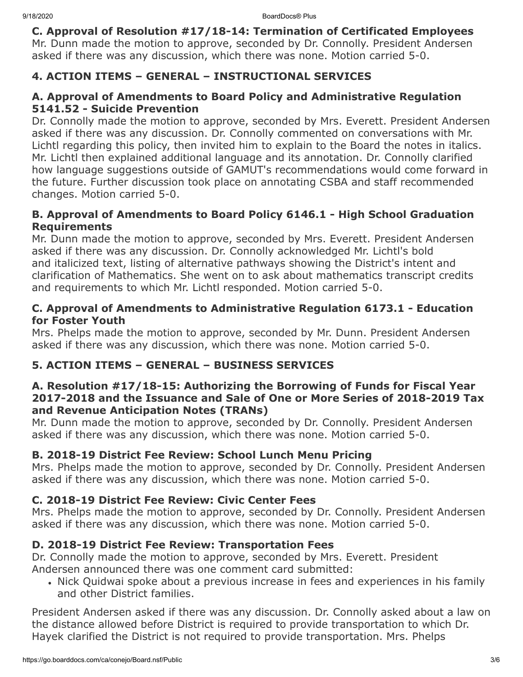**C. Approval of Resolution #17/18-14: Termination of Certificated Employees** Mr. Dunn made the motion to approve, seconded by Dr. Connolly. President Andersen asked if there was any discussion, which there was none. Motion carried 5-0.

## **4. ACTION ITEMS – GENERAL – INSTRUCTIONAL SERVICES**

## **A. Approval of Amendments to Board Policy and Administrative Regulation 5141.52 - Suicide Prevention**

Dr. Connolly made the motion to approve, seconded by Mrs. Everett. President Andersen asked if there was any discussion. Dr. Connolly commented on conversations with Mr. Lichtl regarding this policy, then invited him to explain to the Board the notes in italics. Mr. Lichtl then explained additional language and its annotation. Dr. Connolly clarified how language suggestions outside of GAMUT's recommendations would come forward in the future. Further discussion took place on annotating CSBA and staff recommended changes. Motion carried 5-0.

## **B. Approval of Amendments to Board Policy 6146.1 - High School Graduation Requirements**

Mr. Dunn made the motion to approve, seconded by Mrs. Everett. President Andersen asked if there was any discussion. Dr. Connolly acknowledged Mr. Lichtl's bold and italicized text, listing of alternative pathways showing the District's intent and clarification of Mathematics. She went on to ask about mathematics transcript credits and requirements to which Mr. Lichtl responded. Motion carried 5-0.

### **C. Approval of Amendments to Administrative Regulation 6173.1 - Education for Foster Youth**

Mrs. Phelps made the motion to approve, seconded by Mr. Dunn. President Andersen asked if there was any discussion, which there was none. Motion carried 5-0.

# **5. ACTION ITEMS – GENERAL – BUSINESS SERVICES**

### **A. Resolution #17/18-15: Authorizing the Borrowing of Funds for Fiscal Year 2017-2018 and the Issuance and Sale of One or More Series of 2018-2019 Tax and Revenue Anticipation Notes (TRANs)**

Mr. Dunn made the motion to approve, seconded by Dr. Connolly. President Andersen asked if there was any discussion, which there was none. Motion carried 5-0.

# **B. 2018-19 District Fee Review: School Lunch Menu Pricing**

Mrs. Phelps made the motion to approve, seconded by Dr. Connolly. President Andersen asked if there was any discussion, which there was none. Motion carried 5-0.

# **C. 2018-19 District Fee Review: Civic Center Fees**

Mrs. Phelps made the motion to approve, seconded by Dr. Connolly. President Andersen asked if there was any discussion, which there was none. Motion carried 5-0.

# **D. 2018-19 District Fee Review: Transportation Fees**

Dr. Connolly made the motion to approve, seconded by Mrs. Everett. President Andersen announced there was one comment card submitted:

Nick Quidwai spoke about a previous increase in fees and experiences in his family and other District families.

President Andersen asked if there was any discussion. Dr. Connolly asked about a law on the distance allowed before District is required to provide transportation to which Dr. Hayek clarified the District is not required to provide transportation. Mrs. Phelps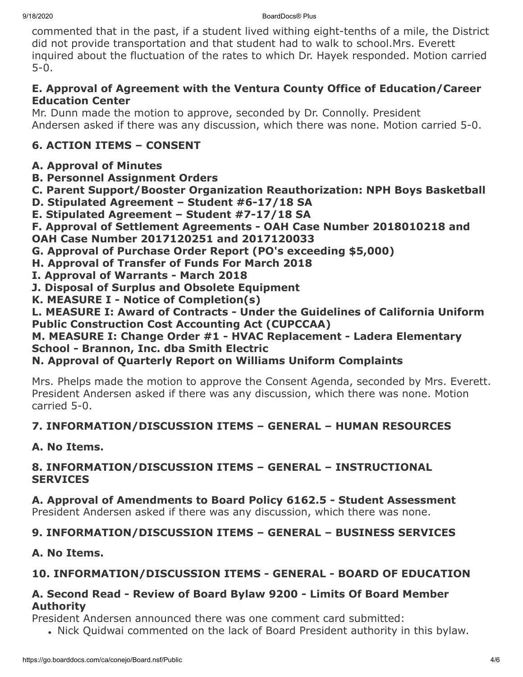commented that in the past, if a student lived withing eight-tenths of a mile, the District did not provide transportation and that student had to walk to school.Mrs. Everett inquired about the fluctuation of the rates to which Dr. Hayek responded. Motion carried 5-0.

## **E. Approval of Agreement with the Ventura County Office of Education/Career Education Center**

Mr. Dunn made the motion to approve, seconded by Dr. Connolly. President Andersen asked if there was any discussion, which there was none. Motion carried 5-0.

# **6. ACTION ITEMS – CONSENT**

# **A. Approval of Minutes**

- **B. Personnel Assignment Orders**
- **C. Parent Support/Booster Organization Reauthorization: NPH Boys Basketball**
- **D. Stipulated Agreement Student #6-17/18 SA**
- **E. Stipulated Agreement Student #7-17/18 SA**
- **F. Approval of Settlement Agreements OAH Case Number 2018010218 and OAH Case Number 2017120251 and 2017120033**
- **G. Approval of Purchase Order Report (PO's exceeding \$5,000)**
- **H. Approval of Transfer of Funds For March 2018**
- **I. Approval of Warrants March 2018**
- **J. Disposal of Surplus and Obsolete Equipment**
- **K. MEASURE I Notice of Completion(s)**

## **L. MEASURE I: Award of Contracts - Under the Guidelines of California Uniform Public Construction Cost Accounting Act (CUPCCAA)**

### **M. MEASURE I: Change Order #1 - HVAC Replacement - Ladera Elementary School - Brannon, Inc. dba Smith Electric**

# **N. Approval of Quarterly Report on Williams Uniform Complaints**

Mrs. Phelps made the motion to approve the Consent Agenda, seconded by Mrs. Everett. President Andersen asked if there was any discussion, which there was none. Motion carried 5-0.

# **7. INFORMATION/DISCUSSION ITEMS – GENERAL – HUMAN RESOURCES**

# **A. No Items.**

### **8. INFORMATION/DISCUSSION ITEMS – GENERAL – INSTRUCTIONAL SERVICES**

**A. Approval of Amendments to Board Policy 6162.5 - Student Assessment** President Andersen asked if there was any discussion, which there was none.

# **9. INFORMATION/DISCUSSION ITEMS – GENERAL – BUSINESS SERVICES**

# **A. No Items.**

# **10. INFORMATION/DISCUSSION ITEMS - GENERAL - BOARD OF EDUCATION**

## **A. Second Read - Review of Board Bylaw 9200 - Limits Of Board Member Authority**

President Andersen announced there was one comment card submitted:

Nick Quidwai commented on the lack of Board President authority in this bylaw.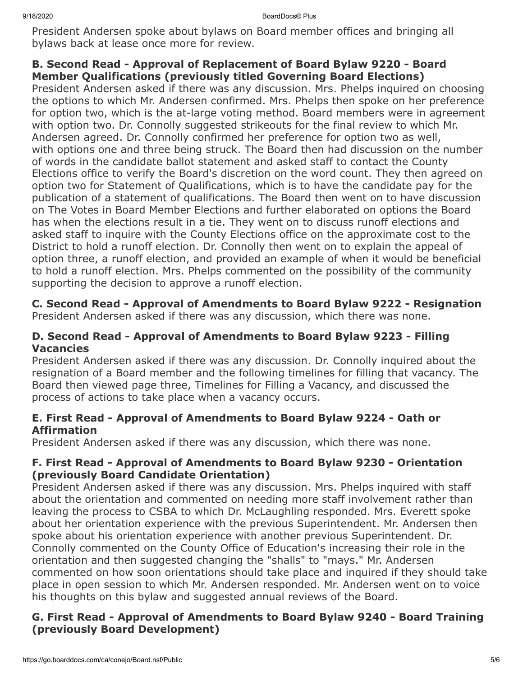President Andersen spoke about bylaws on Board member offices and bringing all bylaws back at lease once more for review.

## **B. Second Read - Approval of Replacement of Board Bylaw 9220 - Board Member Qualifications (previously titled Governing Board Elections)**

President Andersen asked if there was any discussion. Mrs. Phelps inquired on choosing the options to which Mr. Andersen confirmed. Mrs. Phelps then spoke on her preference for option two, which is the at-large voting method. Board members were in agreement with option two. Dr. Connolly suggested strikeouts for the final review to which Mr. Andersen agreed. Dr. Connolly confirmed her preference for option two as well, with options one and three being struck. The Board then had discussion on the number of words in the candidate ballot statement and asked staff to contact the County Elections office to verify the Board's discretion on the word count. They then agreed on option two for Statement of Qualifications, which is to have the candidate pay for the publication of a statement of qualifications. The Board then went on to have discussion on The Votes in Board Member Elections and further elaborated on options the Board has when the elections result in a tie. They went on to discuss runoff elections and asked staff to inquire with the County Elections office on the approximate cost to the District to hold a runoff election. Dr. Connolly then went on to explain the appeal of option three, a runoff election, and provided an example of when it would be beneficial to hold a runoff election. Mrs. Phelps commented on the possibility of the community supporting the decision to approve a runoff election.

#### **C. Second Read - Approval of Amendments to Board Bylaw 9222 - Resignation** President Andersen asked if there was any discussion, which there was none.

### **D. Second Read - Approval of Amendments to Board Bylaw 9223 - Filling Vacancies**

President Andersen asked if there was any discussion. Dr. Connolly inquired about the resignation of a Board member and the following timelines for filling that vacancy. The Board then viewed page three, Timelines for Filling a Vacancy, and discussed the process of actions to take place when a vacancy occurs.

### **E. First Read - Approval of Amendments to Board Bylaw 9224 - Oath or Affirmation**

President Andersen asked if there was any discussion, which there was none.

### **F. First Read - Approval of Amendments to Board Bylaw 9230 - Orientation (previously Board Candidate Orientation)**

President Andersen asked if there was any discussion. Mrs. Phelps inquired with staff about the orientation and commented on needing more staff involvement rather than leaving the process to CSBA to which Dr. McLaughling responded. Mrs. Everett spoke about her orientation experience with the previous Superintendent. Mr. Andersen then spoke about his orientation experience with another previous Superintendent. Dr. Connolly commented on the County Office of Education's increasing their role in the orientation and then suggested changing the "shalls" to "mays." Mr. Andersen commented on how soon orientations should take place and inquired if they should take place in open session to which Mr. Andersen responded. Mr. Andersen went on to voice his thoughts on this bylaw and suggested annual reviews of the Board.

### **G. First Read - Approval of Amendments to Board Bylaw 9240 - Board Training (previously Board Development)**